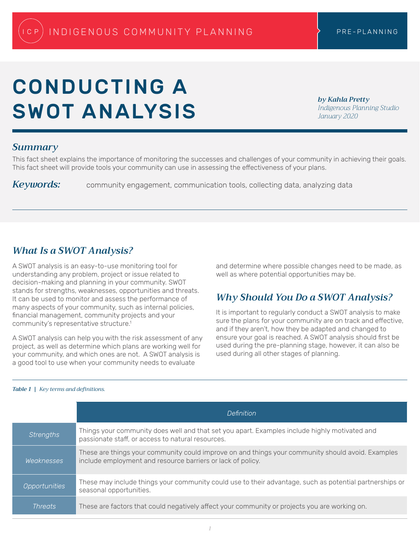# <span id="page-0-0"></span>CONDUCTING A SWOT ANALYSIS

*by Kahla Pretty Indigenous Planning Studio January 2020*

## *Summary*

This fact sheet explains the importance of monitoring the successes and challenges of your community in achieving their goals. This fact sheet will provide tools your community can use in assessing the effectiveness of your plans.

*Keywords:* community engagement, communication tools, collecting data, analyzing data

## *What Is a SWOT Analysis?*

A SWOT analysis is an easy-to-use monitoring tool for understanding any problem, project or issue related to decision-making and planning in your community. SWOT stands for strengths, weaknesses, opportunities and threats. It can be used to monitor and assess the performance of many aspects of your community, such as internal policies, financial management, community projects and your community's representative structure.<sup>1</sup>

A SWOT analysis can help you with the risk assessment of any project, as well as determine which plans are working well for your community, and which ones are not. A SWOT analysis is a good tool to use when your community needs to evaluate

and determine where possible changes need to be made, as well as where potential opportunities may be.

# *Why Should You Do a SWOT Analysis?*

It is important to regularly conduct a SWOT analysis to make sure the plans for your community are on track and effective, and if they aren't, how they be adapted and changed to ensure your goal is reached. A SWOT analysis should first be used during the pre-planning stage, however, it can also be used during all other stages of planning.

|                  | Definition                                                                                                                                                       |
|------------------|------------------------------------------------------------------------------------------------------------------------------------------------------------------|
| <b>Strengths</b> | Things your community does well and that set you apart. Examples include highly motivated and<br>passionate staff, or access to natural resources.               |
| Weaknesses       | These are things your community could improve on and things your community should avoid. Examples<br>include employment and resource barriers or lack of policy. |
| Opportunities    | These may include things your community could use to their advantage, such as potential partnerships or<br>seasonal opportunities.                               |
| Threats'         | These are factors that could negatively affect your community or projects you are working on.                                                                    |

#### *Table 1 | Key terms and definitions.*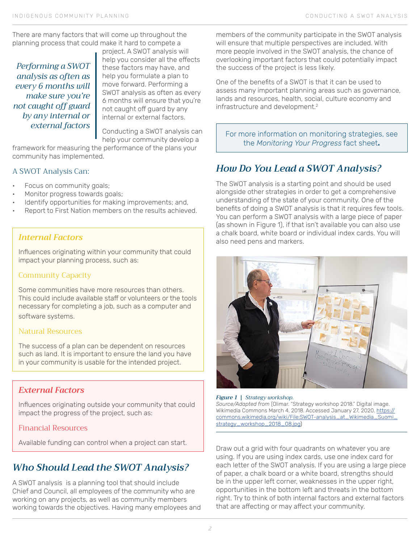<span id="page-1-0"></span>There are many factors that will come up throughout the planning process that could make it hard to compete a

*Performing a SWOT analysis as often as every 6 months will make sure you're not caught off guard by any internal or external factors*

project. A SWOT analysis will help you consider all the effects these factors may have, and help you formulate a plan to move forward. Performing a SWOT analysis as often as every 6 months will ensure that you're not caught off guard by any internal or external factors.

Conducting a SWOT analysis can help your community develop a

framework for measuring the performance of the plans your community has implemented.

## A SWOT Analysis Can:

- Focus on community goals;
- Monitor progress towards goals;
- Identify opportunities for making improvements; and,
- Report to First Nation members on the results achieved.

## *Internal Factors*

Influences originating within your community that could impact your planning process, such as:

#### Community Capacity

Some communities have more resources than others. This could include available staff or volunteers or the tools necessary for completing a job, such as a computer and software systems.

#### Natural Resources

The success of a plan can be dependent on resources such as land. It is important to ensure the land you have in your community is usable for the intended project.

## *External Factors*

Influences originating outside your community that could impact the progress of the project, such as:

## Financial Resources

# *Who Should Lead the SWOT Analysis?*

A SWOT analysis is a planning tool that should include Chief and Council, all employees of the community who are working on any projects, as well as community members working towards the objectives. Having many employees and members of the community participate in the SWOT analysis will ensure that multiple perspectives are included. With more people involved in the SWOT analysis, the chance of overlooking important factors that could potentially impact the success of the project is less likely.

One of the benefits of a SWOT is that it can be used to assess many important planning areas such as governance, lands and resources, health, social, culture economy and infrastructure and development[.2](#page-2-0)

For more information on monitoring strategies, see the *Monitoring Your Progress* fact sheet**.**

# *How Do You Lead a SWOT Analysis?*

The SWOT analysis is a starting point and should be used alongside other strategies in order to get a comprehensive understanding of the state of your community. One of the benefits of doing a SWOT analysis is that it requires few tools. You can perform a SWOT analysis with a large piece of paper (as shown in Figure 1), if that isn't available you can also use a chalk board, white board or individual index cards. You will also need pens and markers.



#### *Figure 1 | Strategy workshop. Source/Adapted from* (Olimar. "Strategy workshop 2018." Digital image. Wikimedia Commons March 4, 2018. Accessed January 27, 2020. [https://](https://commons.wikimedia.org/wiki/File:SWOT-analysis_at_Wikimedia_Suomi_strategy_workshop_2018_08.jpg) [commons.wikimedia.org/wiki/File:SWOT-analysis\\_at\\_Wikimedia\\_Suomi\\_](https://commons.wikimedia.org/wiki/File:SWOT-analysis_at_Wikimedia_Suomi_strategy_workshop_2018_08.jpg) [strategy\\_workshop\\_2018\\_08.jpg\)](https://commons.wikimedia.org/wiki/File:SWOT-analysis_at_Wikimedia_Suomi_strategy_workshop_2018_08.jpg)

Available funding can control when a project can start.<br>Draw out a grid with four quadrants on whatever you are using. If you are using index cards, use one index card for each letter of the SWOT analysis. If you are using a large piece of paper, a chalk board or a white board, strengths should be in the upper left corner, weaknesses in the upper right, opportunities in the bottom left and threats in the bottom right. Try to think of both internal factors and external factors that are affecting or may affect your community.